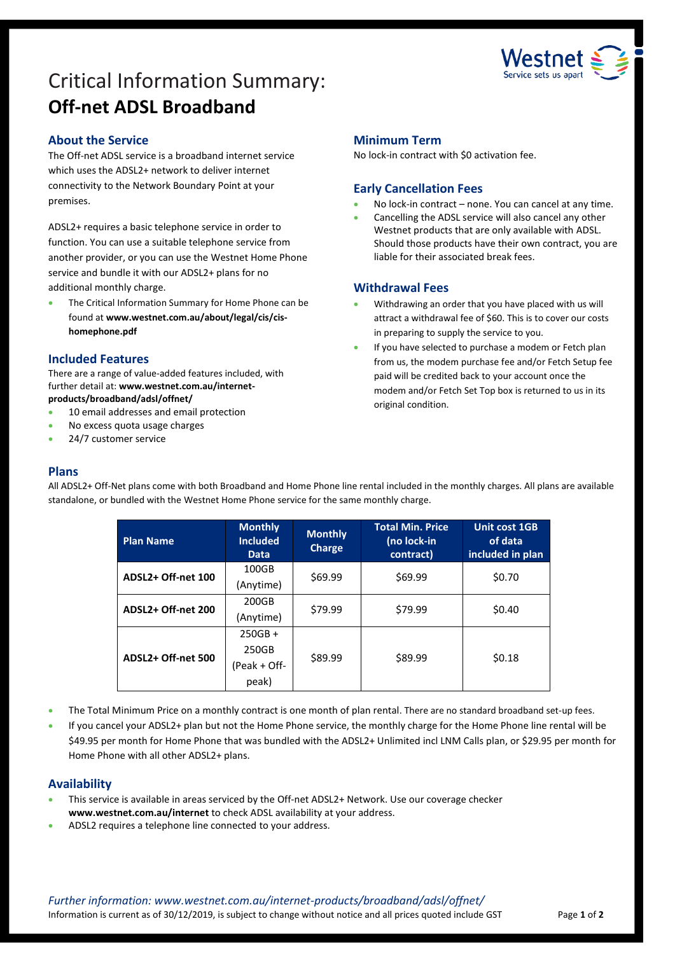

# Critical Information Summary: **Off-net ADSL Broadband**

# **About the Service**

The Off-net ADSL service is a broadband internet service which uses the ADSL2+ network to deliver internet connectivity to the Network Boundary Point at your premises.

ADSL2+ requires a basic telephone service in order to function. You can use a suitable telephone service from another provider, or you can use the Westnet Home Phone service and bundle it with our ADSL2+ plans for no additional monthly charge.

 The Critical Information Summary for Home Phone can be found at **www.westnet.com.au/about/legal/cis/cishomephone.pdf**

### **Included Features**

There are a range of value-added features included, with further detail at: **www.westnet.com.au/internetproducts/broadband/adsl/offnet/**

- 10 email addresses and email protection
- No excess quota usage charges
- 24/7 customer service

#### **Minimum Term**

No lock-in contract with \$0 activation fee.

# **Early Cancellation Fees**

- No lock-in contract none. You can cancel at any time.
- Cancelling the ADSL service will also cancel any other Westnet products that are only available with ADSL. Should those products have their own contract, you are liable for their associated break fees.

# **Withdrawal Fees**

- Withdrawing an order that you have placed with us will attract a withdrawal fee of \$60. This is to cover our costs in preparing to supply the service to you.
- If you have selected to purchase a modem or Fetch plan from us, the modem purchase fee and/or Fetch Setup fee paid will be credited back to your account once the modem and/or Fetch Set Top box is returned to us in its original condition.

# **Plans**

All ADSL2+ Off-Net plans come with both Broadband and Home Phone line rental included in the monthly charges. All plans are available standalone, or bundled with the Westnet Home Phone service for the same monthly charge.

| <b>Plan Name</b>   | <b>Monthly</b><br><b>Included</b><br><b>Data</b> | <b>Monthly</b><br>Charge | <b>Total Min. Price</b><br>(no lock-in<br>contract) | <b>Unit cost 1GB</b><br>of data<br>included in plan |
|--------------------|--------------------------------------------------|--------------------------|-----------------------------------------------------|-----------------------------------------------------|
| ADSL2+ Off-net 100 | 100GB<br>(Anytime)                               | \$69.99                  | \$69.99                                             | \$0.70                                              |
| ADSL2+ Off-net 200 | 200GB<br>(Anytime)                               | \$79.99                  | \$79.99                                             | \$0.40                                              |
| ADSL2+ Off-net 500 | $250GB +$<br>250GB<br>$(Peak + Off-$<br>peak)    | \$89.99                  | \$89.99                                             | \$0.18                                              |

- The Total Minimum Price on a monthly contract is one month of plan rental. There are no standard broadband set-up fees.
- If you cancel your ADSL2+ plan but not the Home Phone service, the monthly charge for the Home Phone line rental will be \$49.95 per month for Home Phone that was bundled with the ADSL2+ Unlimited incl LNM Calls plan, or \$29.95 per month for Home Phone with all other ADSL2+ plans.

# **Availability**

- This service is available in areas serviced by the Off-net ADSL2+ Network. Use our coverage checker **www.westnet.com.au/internet** to check ADSL availability at your address.
- ADSL2 requires a telephone line connected to your address.